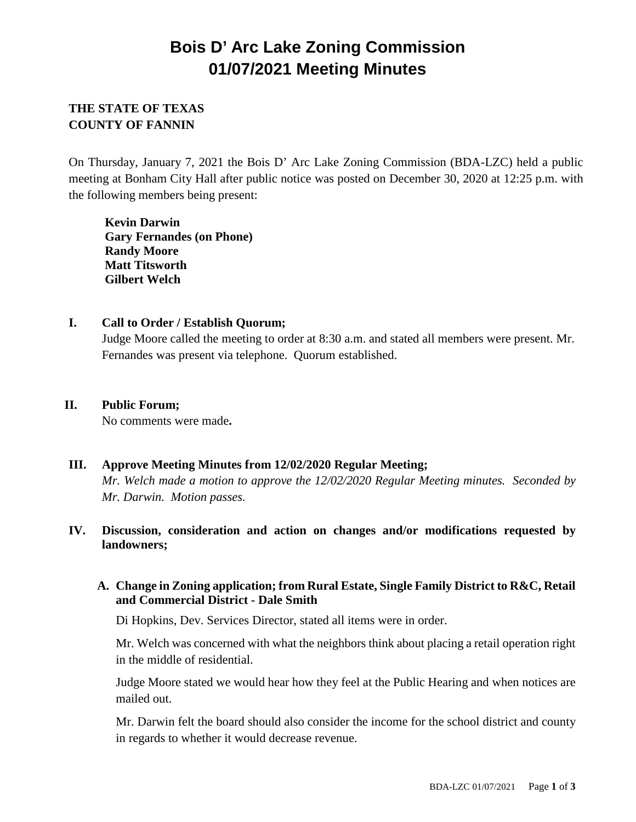# **Bois D' Arc Lake Zoning Commission 01/07/2021 Meeting Minutes**

# **THE STATE OF TEXAS COUNTY OF FANNIN**

On Thursday, January 7, 2021 the Bois D' Arc Lake Zoning Commission (BDA-LZC) held a public meeting at Bonham City Hall after public notice was posted on December 30, 2020 at 12:25 p.m. with the following members being present:

**Kevin Darwin Gary Fernandes (on Phone) Randy Moore Matt Titsworth Gilbert Welch**

#### **I. Call to Order / Establish Quorum;**

Judge Moore called the meeting to order at 8:30 a.m. and stated all members were present. Mr. Fernandes was present via telephone. Quorum established.

#### **II. Public Forum;**

No comments were made**.** 

## **III. Approve Meeting Minutes from 12/02/2020 Regular Meeting;**

*Mr. Welch made a motion to approve the 12/02/2020 Regular Meeting minutes. Seconded by Mr. Darwin. Motion passes.* 

## **IV. Discussion, consideration and action on changes and/or modifications requested by landowners;**

## **A. Change in Zoning application; from Rural Estate, Single Family District to R&C, Retail and Commercial District - Dale Smith**

Di Hopkins, Dev. Services Director, stated all items were in order.

Mr. Welch was concerned with what the neighbors think about placing a retail operation right in the middle of residential.

Judge Moore stated we would hear how they feel at the Public Hearing and when notices are mailed out.

Mr. Darwin felt the board should also consider the income for the school district and county in regards to whether it would decrease revenue.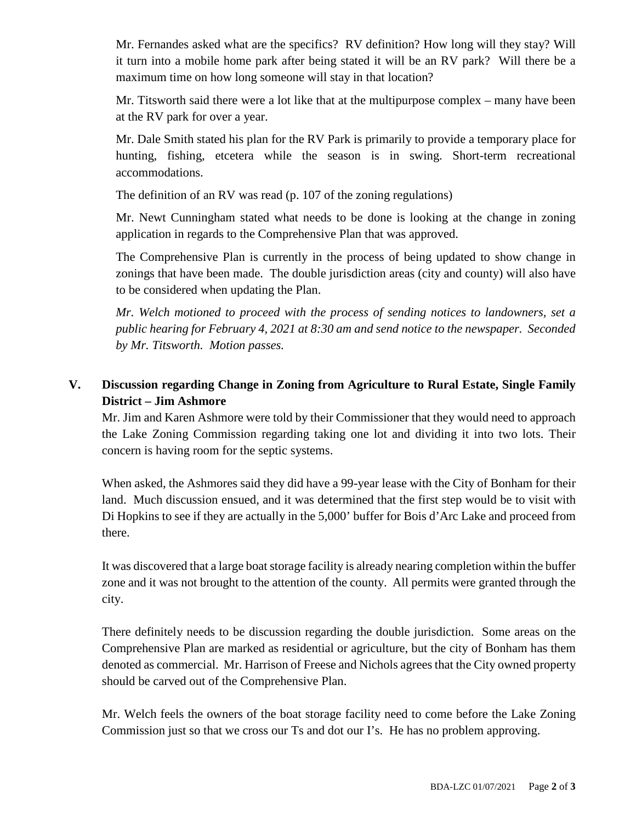Mr. Fernandes asked what are the specifics? RV definition? How long will they stay? Will it turn into a mobile home park after being stated it will be an RV park? Will there be a maximum time on how long someone will stay in that location?

Mr. Titsworth said there were a lot like that at the multipurpose complex – many have been at the RV park for over a year.

Mr. Dale Smith stated his plan for the RV Park is primarily to provide a temporary place for hunting, fishing, etcetera while the season is in swing. Short-term recreational accommodations.

The definition of an RV was read (p. 107 of the zoning regulations)

Mr. Newt Cunningham stated what needs to be done is looking at the change in zoning application in regards to the Comprehensive Plan that was approved.

The Comprehensive Plan is currently in the process of being updated to show change in zonings that have been made. The double jurisdiction areas (city and county) will also have to be considered when updating the Plan.

*Mr. Welch motioned to proceed with the process of sending notices to landowners, set a public hearing for February 4, 2021 at 8:30 am and send notice to the newspaper. Seconded by Mr. Titsworth. Motion passes.* 

# **V. Discussion regarding Change in Zoning from Agriculture to Rural Estate, Single Family District – Jim Ashmore**

Mr. Jim and Karen Ashmore were told by their Commissioner that they would need to approach the Lake Zoning Commission regarding taking one lot and dividing it into two lots. Their concern is having room for the septic systems.

When asked, the Ashmores said they did have a 99-year lease with the City of Bonham for their land. Much discussion ensued, and it was determined that the first step would be to visit with Di Hopkins to see if they are actually in the 5,000' buffer for Bois d'Arc Lake and proceed from there.

It was discovered that a large boat storage facility is already nearing completion within the buffer zone and it was not brought to the attention of the county. All permits were granted through the city.

There definitely needs to be discussion regarding the double jurisdiction. Some areas on the Comprehensive Plan are marked as residential or agriculture, but the city of Bonham has them denoted as commercial. Mr. Harrison of Freese and Nichols agrees that the City owned property should be carved out of the Comprehensive Plan.

Mr. Welch feels the owners of the boat storage facility need to come before the Lake Zoning Commission just so that we cross our Ts and dot our I's. He has no problem approving.